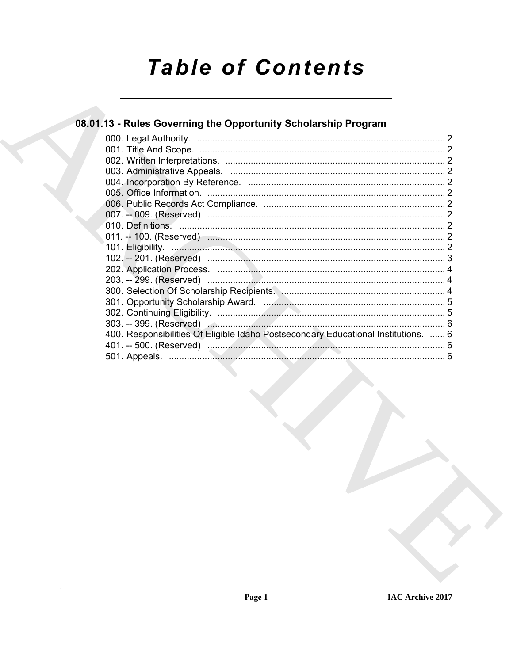# **Table of Contents**

# 08.01.13 - Rules Governing the Opportunity Scholarship Program

| 400. Responsibilities Of Eligible Idaho Postsecondary Educational Institutions.  6 |  |
|------------------------------------------------------------------------------------|--|
|                                                                                    |  |
|                                                                                    |  |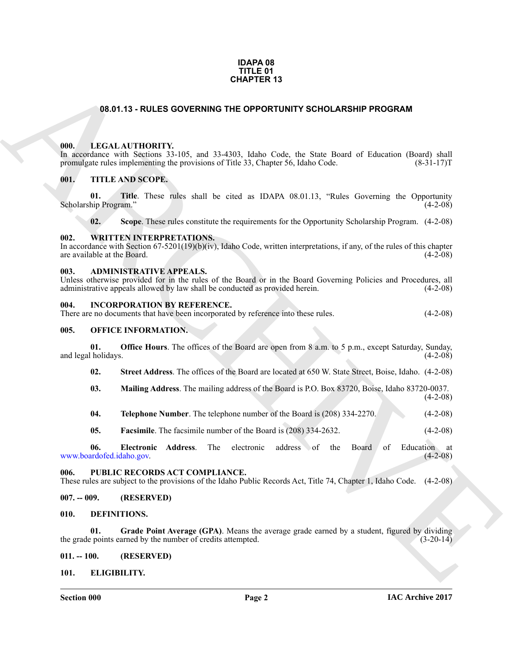#### **IDAPA 08 TITLE 01 CHAPTER 13**

#### **08.01.13 - RULES GOVERNING THE OPPORTUNITY SCHOLARSHIP PROGRAM**

#### <span id="page-1-1"></span><span id="page-1-0"></span>**000. LEGAL AUTHORITY.**

**GRAFIER 13**<br> **CRACIAL ALTIFORITY**, 1975, and 21 450). Ideas Code, the State Board of Education (Board shall points)<br> **CRACHIVE TRACK SCOPE,**<br> **CRACHIVE TRACK SCOPE,**<br> **CRACHIVE TRACK SCOPE,**<br> **CRACHIVE TRACK SCOPE**,<br> **CR** In accordance with Sections 33-105, and 33-4303, Idaho Code, the State Board of Education (Board) shall promulgate rules implementing the provisions of Title 33, Chapter 56, Idaho Code. (8-31-17) promulgate rules implementing the provisions of Title 33, Chapter 56, Idaho Code.

#### <span id="page-1-2"></span>**001. TITLE AND SCOPE.**

**01.** Title. These rules shall be cited as IDAPA 08.01.13, "Rules Governing the Opportunity (4-2-08) Scholarship Program."

**02. Scope**. These rules constitute the requirements for the Opportunity Scholarship Program. (4-2-08)

#### <span id="page-1-3"></span>**002. WRITTEN INTERPRETATIONS.**

In accordance with Section 67-5201(19)(b)(iv), Idaho Code, written interpretations, if any, of the rules of this chapter are available at the Board.  $(4-2-08)$ are available at the Board.

#### <span id="page-1-4"></span>**003. ADMINISTRATIVE APPEALS.**

Unless otherwise provided for in the rules of the Board or in the Board Governing Policies and Procedures, all administrative appeals allowed by law shall be conducted as provided herein. (4-2-08)

#### <span id="page-1-5"></span>**004. INCORPORATION BY REFERENCE.**

| There are no documents that have been incorporated by reference into these rules. |  | $(4-2-08)$ |
|-----------------------------------------------------------------------------------|--|------------|
|-----------------------------------------------------------------------------------|--|------------|

#### <span id="page-1-6"></span>**005. OFFICE INFORMATION.**

**01. Office Hours**. The offices of the Board are open from 8 a.m. to 5 p.m., except Saturday, Sunday, and legal holidays.

**02. Street Address**. The offices of the Board are located at 650 W. State Street, Boise, Idaho. (4-2-08)

- **03. Mailing Address**. The mailing address of the Board is P.O. Box 83720, Boise, Idaho 83720-0037.  $(4-2-08)$
- **04.** Telephone Number. The telephone number of the Board is (208) 334-2270. (4-2-08)
- **05. Facsimile**. The facsimile number of the Board is (208) 334-2632. (4-2-08)

**06. Electronic Address**. The electronic address of the Board of Education at ardofed.idaho.gov. (4-2-08) www.boardofed.idaho.gov.

#### <span id="page-1-7"></span>**006. PUBLIC RECORDS ACT COMPLIANCE.**

These rules are subject to the provisions of the Idaho Public Records Act, Title 74, Chapter 1, Idaho Code. (4-2-08)

#### <span id="page-1-8"></span>**007. -- 009. (RESERVED)**

#### <span id="page-1-12"></span><span id="page-1-9"></span>**010. DEFINITIONS.**

<span id="page-1-13"></span>**01. Grade Point Average (GPA)**. Means the average grade earned by a student, figured by dividing the grade points earned by the number of credits attempted.  $(3-20-14)$ 

#### <span id="page-1-10"></span>**011. -- 100. (RESERVED)**

#### <span id="page-1-14"></span><span id="page-1-11"></span>**101. ELIGIBILITY.**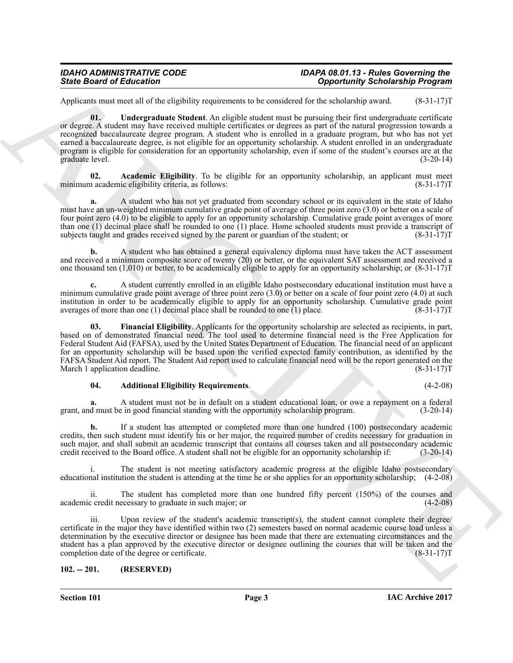#### *IDAHO ADMINISTRATIVE CODE IDAPA 08.01.13 - Rules Governing the State Board of Education Opportunity Scholarship Program*

<span id="page-2-4"></span>Applicants must meet all of the eligibility requirements to be considered for the scholarship award. (8-31-17)T

Since Board of Education<br>
Application (4) Consider the systems of the systems of the systems of the systems of the systems of the systems of the systems of the systems of the systems of the systems of the systems of the s **01. Undergraduate Student**. An eligible student must be pursuing their first undergraduate certificate or degree. A student may have received multiple certificates or degrees as part of the natural progression towards a recognized baccalaureate degree program. A student who is enrolled in a graduate program, but who has not yet earned a baccalaureate degree, is not eligible for an opportunity scholarship. A student enrolled in an undergraduate program is eligible for consideration for an opportunity scholarship, even if some of the student's courses are at the graduate level. (3-20-14)

<span id="page-2-1"></span>**02. Academic Eligibility**. To be eligible for an opportunity scholarship, an applicant must meet minimum academic eligibility criteria, as follows:

**a.** A student who has not yet graduated from secondary school or its equivalent in the state of Idaho must have an un-weighted minimum cumulative grade point of average of three point zero (3.0) or better on a scale of four point zero (4.0) to be eligible to apply for an opportunity scholarship. Cumulative grade point averages of more than one (1) decimal place shall be rounded to one (1) place. Home schooled students must provide a transcript of subjects taught and grades received signed by the parent or guardian of the student; or  $(8-31-17)T$ subjects taught and grades received signed by the parent or guardian of the student; or

**b.** A student who has obtained a general equivalency diploma must have taken the ACT assessment and received a minimum composite score of twenty (20) or better, or the equivalent SAT assessment and received a one thousand ten  $(1,010)$  or better, to be academically eligible to apply for an opportunity scholarship; or  $(8-31-17)$ T

**c.** A student currently enrolled in an eligible Idaho postsecondary educational institution must have a minimum cumulative grade point average of three point zero (3.0) or better on a scale of four point zero (4.0) at such institution in order to be academically eligible to apply for an opportunity scholarship. Cumulative grade point averages of more than one (1) decimal place shall be rounded to one (1) place. averages of more than one  $(1)$  decimal place shall be rounded to one  $(1)$  place.

<span id="page-2-3"></span>**03. Financial Eligibility**. Applicants for the opportunity scholarship are selected as recipients, in part, based on of demonstrated financial need. The tool used to determine financial need is the Free Application for Federal Student Aid (FAFSA), used by the United States Department of Education. The financial need of an applicant for an opportunity scholarship will be based upon the verified expected family contribution, as identified by the FAFSA Student Aid report. The Student Aid report used to calculate financial need will be the report generated on the March 1 application deadline. (8-31-17) T

#### <span id="page-2-2"></span>**04. Additional Eligibility Requirements**. (4-2-08)

**a.** A student must not be in default on a student educational loan, or owe a repayment on a federal grant, and must be in good financial standing with the opportunity scholarship program. (3-20-14)

**b.** If a student has attempted or completed more than one hundred (100) postsecondary academic credits, then such student must identify his or her major, the required number of credits necessary for graduation in such major, and shall submit an academic transcript that contains all courses taken and all postsecondary academic credit received to the Board office. A student shall not be eligible for an opportunity scholarship if: (3-20-14)

i. The student is not meeting satisfactory academic progress at the eligible Idaho postsecondary educational institution the student is attending at the time he or she applies for an opportunity scholarship; (4-2-08)

ii. The student has completed more than one hundred fifty percent (150%) of the courses and c credit necessary to graduate in such major; or (4-2-08) academic credit necessary to graduate in such major; or

iii. Upon review of the student's academic transcript(s), the student cannot complete their degree/ certificate in the major they have identified within two (2) semesters based on normal academic course load unless a determination by the executive director or designee has been made that there are extenuating circumstances and the student has a plan approved by the executive director or designee outlining the courses that will be taken and the completion date of the degree or certificate. completion date of the degree or certificate.

#### <span id="page-2-0"></span>**102. -- 201. (RESERVED)**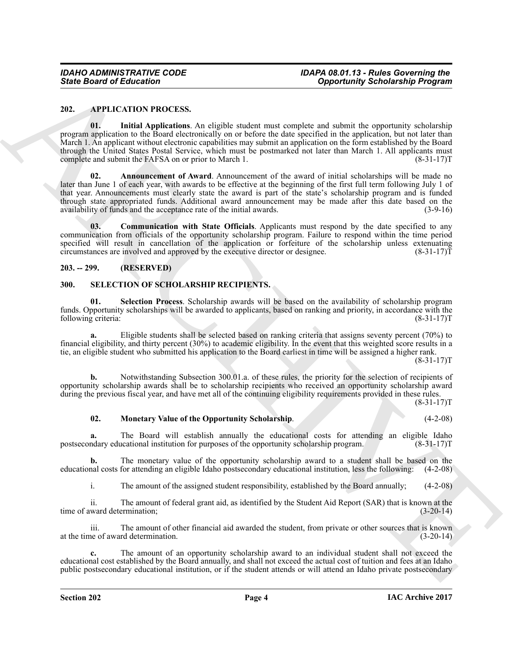#### <span id="page-3-3"></span><span id="page-3-0"></span>**202. APPLICATION PROCESS.**

<span id="page-3-6"></span><span id="page-3-4"></span>**01. Initial Applications**. An eligible student must complete and submit the opportunity scholarship program application to the Board electronically on or before the date specified in the application, but not later than March 1. An applicant without electronic capabilities may submit an application on the form established by the Board through the United States Postal Service, which must be postmarked not later than March 1. All applicants must<br>complete and submit the FAFSA on or prior to March 1. complete and submit the FAFSA on or prior to March 1.

Sinte Board of Entrancement of Comparison and the state of the state of the state of the state of the state of the state of the state of the state of the state of the state of the state of the state of the state of the st **02. Announcement of Award**. Announcement of the award of initial scholarships will be made no later than June 1 of each year, with awards to be effective at the beginning of the first full term following July 1 of that year. Announcements must clearly state the award is part of the state's scholarship program and is funded through state appropriated funds. Additional award announcement may be made after this date based on the availability of funds and the acceptance rate of the initial awards. (3-9-16)

<span id="page-3-5"></span>**03. Communication with State Officials**. Applicants must respond by the date specified to any communication from officials of the opportunity scholarship program. Failure to respond within the time period specified will result in cancellation of the application or forfeiture of the scholarship unless extenuating circumstances are involved and approved by the executive director or designee.  $(8-31-17)T$ 

#### <span id="page-3-1"></span>**203. -- 299. (RESERVED)**

#### <span id="page-3-7"></span><span id="page-3-2"></span>**300. SELECTION OF SCHOLARSHIP RECIPIENTS.**

<span id="page-3-9"></span>**01. Selection Process**. Scholarship awards will be based on the availability of scholarship program funds. Opportunity scholarships will be awarded to applicants, based on ranking and priority, in accordance with the following criteria: (8-31-17)T (8-31-17)T

Eligible students shall be selected based on ranking criteria that assigns seventy percent (70%) to financial eligibility, and thirty percent (30%) to academic eligibility. In the event that this weighted score results in a tie, an eligible student who submitted his application to the Board earliest in time will be assigned a higher rank.  $(8-31-17)T$ 

**b.** Notwithstanding Subsection 300.01.a. of these rules, the priority for the selection of recipients of opportunity scholarship awards shall be to scholarship recipients who received an opportunity scholarship award during the previous fiscal year, and have met all of the continuing eligibility requirements provided in these rules.

 $(8-31-17)T$ 

#### <span id="page-3-8"></span>**02. Monetary Value of the Opportunity Scholarship**. (4-2-08)

**a.** The Board will establish annually the educational costs for attending an eligible Idaho postsecondary educational institution for purposes of the opportunity scholarship program. (8-31-17)T

**b.** The monetary value of the opportunity scholarship award to a student shall be based on the educational costs for attending an eligible Idaho postsecondary educational institution, less the following: (4-2-08)

i. The amount of the assigned student responsibility, established by the Board annually; (4-2-08)

ii. The amount of federal grant aid, as identified by the Student Aid Report (SAR) that is known at the time of award determination;

iii. The amount of other financial aid awarded the student, from private or other sources that is known at the time of award determination. (3-20-14)

**c.** The amount of an opportunity scholarship award to an individual student shall not exceed the educational cost established by the Board annually, and shall not exceed the actual cost of tuition and fees at an Idaho public postsecondary educational institution, or if the student attends or will attend an Idaho private postsecondary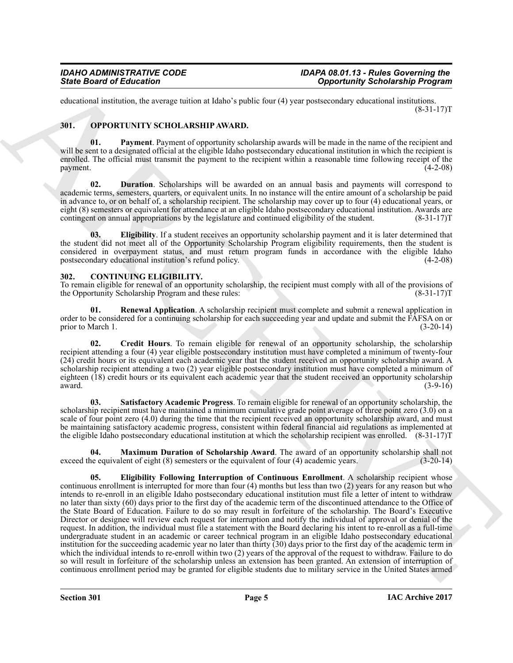educational institution, the average tuition at Idaho's public four (4) year postsecondary educational institutions.  $(8-31-17)T$ 

#### <span id="page-4-8"></span><span id="page-4-0"></span>**301. OPPORTUNITY SCHOLARSHIP AWARD.**

<span id="page-4-11"></span>**01. Payment**. Payment of opportunity scholarship awards will be made in the name of the recipient and will be sent to a designated official at the eligible Idaho postsecondary educational institution in which the recipient is enrolled. The official must transmit the payment to the recipient within a reasonable time following receipt of the payment. (4-2-08)

<span id="page-4-9"></span>**02. Duration**. Scholarships will be awarded on an annual basis and payments will correspond to academic terms, semesters, quarters, or equivalent units. In no instance will the entire amount of a scholarship be paid in advance to, or on behalf of, a scholarship recipient. The scholarship may cover up to four (4) educational years, or eight (8) semesters or equivalent for attendance at an eligible Idaho postsecondary educational institution. Awards are contingent on annual appropriations by the legislature and continued eligibility of the student. (8-31-17)T

<span id="page-4-10"></span>**03. Eligibility**. If a student receives an opportunity scholarship payment and it is later determined that the student did not meet all of the Opportunity Scholarship Program eligibility requirements, then the student is considered in overpayment status, and must return program funds in accordance with the eligible Idaho postsecondary educational institution's refund policy. (4-2-08) (4-2-08)

#### <span id="page-4-2"></span><span id="page-4-1"></span>**302. CONTINUING ELIGIBILITY.**

To remain eligible for renewal of an opportunity scholarship, the recipient must comply with all of the provisions of the Opportunity Scholarship Program and these rules: (8-31-17) (8-31-17) (8-31-17) T

<span id="page-4-6"></span>**01. Renewal Application**. A scholarship recipient must complete and submit a renewal application in order to be considered for a continuing scholarship for each succeeding year and update and submit the FAFSA on or<br>(3-20-14) prior to March 1.

<span id="page-4-3"></span>**02. Credit Hours**. To remain eligible for renewal of an opportunity scholarship, the scholarship recipient attending a four (4) year eligible postsecondary institution must have completed a minimum of twenty-four (24) credit hours or its equivalent each academic year that the student received an opportunity scholarship award. A scholarship recipient attending a two (2) year eligible postsecondary institution must have completed a minimum of eighteen (18) credit hours or its equivalent each academic year that the student received an opportunity scholarship award. (3-9-16) award.  $(3-9-16)$ 

<span id="page-4-7"></span>**03. Satisfactory Academic Progress**. To remain eligible for renewal of an opportunity scholarship, the scholarship recipient must have maintained a minimum cumulative grade point average of three point zero (3.0) on a scale of four point zero (4.0) during the time that the recipient received an opportunity scholarship award, and must be maintaining satisfactory academic progress, consistent within federal financial aid regulations as implemented at the eligible Idaho postsecondary educational institution at which the scholarship recipient was enrolled. (8-31-17)T

<span id="page-4-5"></span><span id="page-4-4"></span>**04. Maximum Duration of Scholarship Award**. The award of an opportunity scholarship shall not ne equivalent of eight (8) semesters or the equivalent of four (4) academic years. (3-20-14) exceed the equivalent of eight  $(8)$  semesters or the equivalent of four  $(4)$  academic years.

Since Board of Ecliptorion Conservation at black y robe control (specifically Scholarship Program)<br>
ARCHIVENT SCHOLARSHIP ANAIDA<br>
SHE CONSERVATION CONSERVATION (See From the Conservation Conservation Conservation Conserva **05. Eligibility Following Interruption of Continuous Enrollment**. A scholarship recipient whose continuous enrollment is interrupted for more than four (4) months but less than two (2) years for any reason but who intends to re-enroll in an eligible Idaho postsecondary educational institution must file a letter of intent to withdraw no later than sixty (60) days prior to the first day of the academic term of the discontinued attendance to the Office of the State Board of Education. Failure to do so may result in forfeiture of the scholarship. The Board's Executive Director or designee will review each request for interruption and notify the individual of approval or denial of the request. In addition, the individual must file a statement with the Board declaring his intent to re-enroll as a full-time undergraduate student in an academic or career technical program in an eligible Idaho postsecondary educational institution for the succeeding academic year no later than thirty (30) days prior to the first day of the academic term in which the individual intends to re-enroll within two (2) years of the approval of the request to withdraw. Failure to do so will result in forfeiture of the scholarship unless an extension has been granted. An extension of interruption of continuous enrollment period may be granted for eligible students due to military service in the United States armed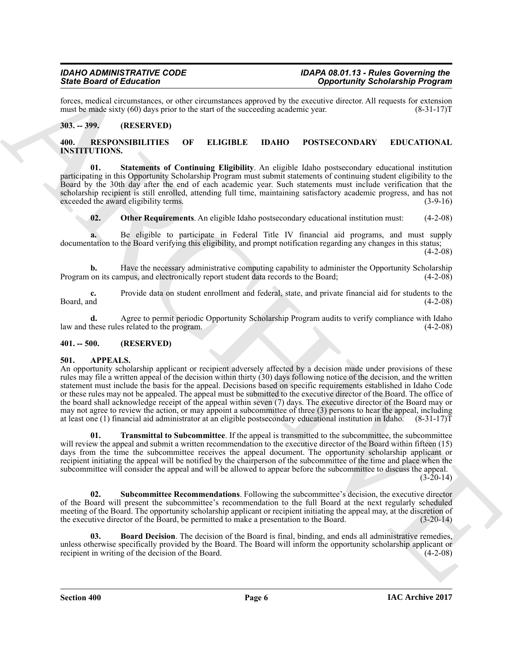forces, medical circumstances, or other circumstances approved by the executive director. All requests for extension must be made sixty (60) days prior to the start of the succeeding academic year. (8-31-17) must be made sixty  $(60)$  days prior to the start of the succeeding academic year.

#### <span id="page-5-0"></span>**303. -- 399. (RESERVED)**

#### <span id="page-5-8"></span><span id="page-5-1"></span>**400. RESPONSIBILITIES OF ELIGIBLE IDAHO POSTSECONDARY EDUCATIONAL INSTITUTIONS.**

<span id="page-5-10"></span>**01. Statements of Continuing Eligibility**. An eligible Idaho postsecondary educational institution participating in this Opportunity Scholarship Program must submit statements of continuing student eligibility to the Board by the 30th day after the end of each academic year. Such statements must include verification that the scholarship recipient is still enrolled, attending full time, maintaining satisfactory academic progress, and has not exceeded the award eligibility terms. exceeded the award eligibility terms.

<span id="page-5-9"></span>**02.** Other Requirements. An eligible Idaho postsecondary educational institution must: (4-2-08)

**a.** Be eligible to participate in Federal Title IV financial aid programs, and must supply documentation to the Board verifying this eligibility, and prompt notification regarding any changes in this status;

 $(4-2-08)$ 

**b.** Have the necessary administrative computing capability to administer the Opportunity Scholarship on its campus, and electronically report student data records to the Board; (4-2-08) Program on its campus, and electronically report student data records to the Board;

**c.** Provide data on student enrollment and federal, state, and private financial aid for students to the Board, and (4-2-08) Board, and (4-2-08)

**d.** Agree to permit periodic Opportunity Scholarship Program audits to verify compliance with Idaho law and these rules related to the program. (4-2-08)

#### <span id="page-5-2"></span>**401. -- 500. (RESERVED)**

#### <span id="page-5-4"></span><span id="page-5-3"></span>**501. APPEALS.**

Since **One of Editorion of Control interaction** (Control interaction) and the constraints of columning the state of the state of the state of the state of the state of the state of the state of the state of the state of t An opportunity scholarship applicant or recipient adversely affected by a decision made under provisions of these rules may file a written appeal of the decision within thirty (30) days following notice of the decision, and the written statement must include the basis for the appeal. Decisions based on specific requirements established in Idaho Code or these rules may not be appealed. The appeal must be submitted to the executive director of the Board. The office of the board shall acknowledge receipt of the appeal within seven (7) days. The executive director of the Board may or may not agree to review the action, or may appoint a subcommittee of three (3) persons to hear the appeal, including at least one (1) financial aid administrator at an eligible postsecondary educational institution in Idaho.  $(8-31-17)\bar{T}$ 

<span id="page-5-7"></span>**01. Transmittal to Subcommittee**. If the appeal is transmitted to the subcommittee, the subcommittee will review the appeal and submit a written recommendation to the executive director of the Board within fifteen (15) days from the time the subcommittee receives the appeal document. The opportunity scholarship applicant or recipient initiating the appeal will be notified by the chairperson of the subcommittee of the time and place when the subcommittee will consider the appeal and will be allowed to appear before the subcommittee to discuss the appeal.

 $(3-20-14)$ 

<span id="page-5-6"></span>**02. Subcommittee Recommendations**. Following the subcommittee's decision, the executive director of the Board will present the subcommittee's recommendation to the full Board at the next regularly scheduled meeting of the Board. The opportunity scholarship applicant or recipient initiating the appeal may, at the discretion of the executive director of the Board, be permitted to make a presentation to the Board. (3-20-14)

<span id="page-5-5"></span>**03. Board Decision**. The decision of the Board is final, binding, and ends all administrative remedies, unless otherwise specifically provided by the Board. The Board will inform the opportunity scholarship applicant or recipient in writing of the decision of the Board. recipient in writing of the decision of the Board.